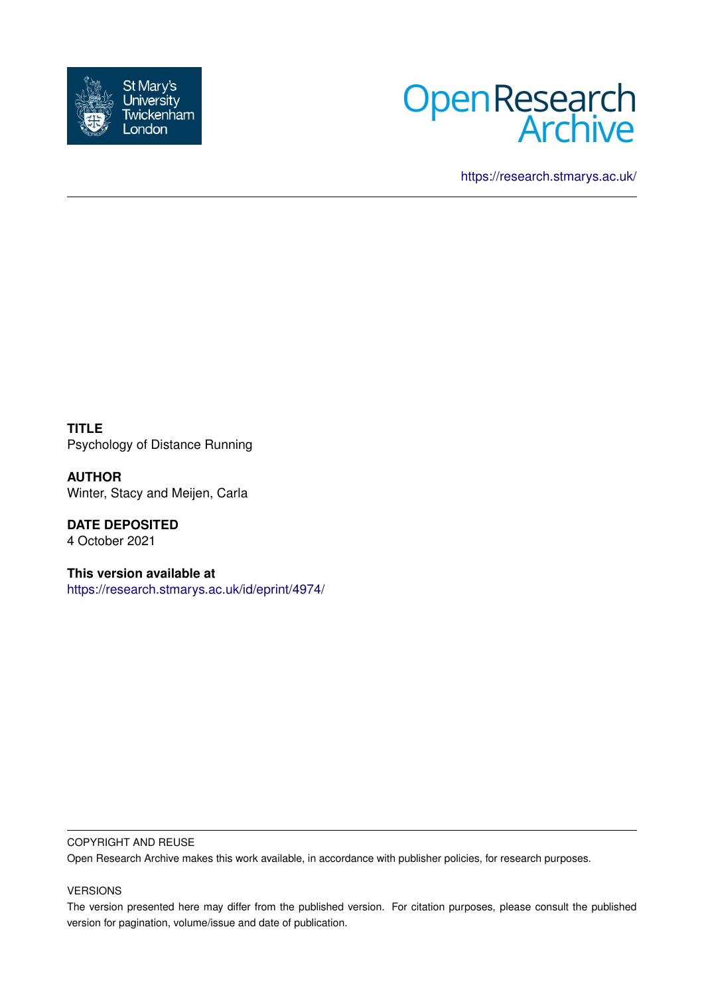



<https://research.stmarys.ac.uk/>

**TITLE** Psychology of Distance Running

**AUTHOR** Winter, Stacy and Meijen, Carla

**DATE DEPOSITED** 4 October 2021

**This version available at** <https://research.stmarys.ac.uk/id/eprint/4974/>

### COPYRIGHT AND REUSE

Open Research Archive makes this work available, in accordance with publisher policies, for research purposes.

### VERSIONS

The version presented here may differ from the published version. For citation purposes, please consult the published version for pagination, volume/issue and date of publication.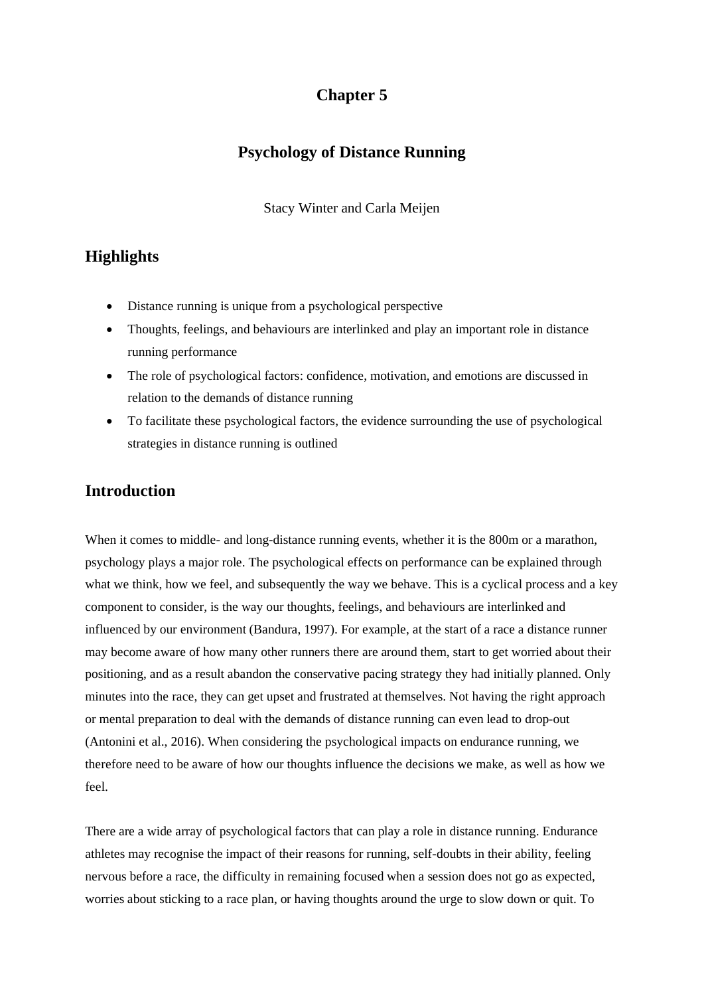# **Chapter 5**

# **Psychology of Distance Running**

Stacy Winter and Carla Meijen

# **Highlights**

- Distance running is unique from a psychological perspective
- Thoughts, feelings, and behaviours are interlinked and play an important role in distance running performance
- The role of psychological factors: confidence, motivation, and emotions are discussed in relation to the demands of distance running
- To facilitate these psychological factors, the evidence surrounding the use of psychological strategies in distance running is outlined

# **Introduction**

When it comes to middle- and long-distance running events, whether it is the 800m or a marathon, psychology plays a major role. The psychological effects on performance can be explained through what we think, how we feel, and subsequently the way we behave. This is a cyclical process and a key component to consider, is the way our thoughts, feelings, and behaviours are interlinked and influenced by our environment (Bandura, 1997). For example, at the start of a race a distance runner may become aware of how many other runners there are around them, start to get worried about their positioning, and as a result abandon the conservative pacing strategy they had initially planned. Only minutes into the race, they can get upset and frustrated at themselves. Not having the right approach or mental preparation to deal with the demands of distance running can even lead to drop-out (Antonini et al., 2016). When considering the psychological impacts on endurance running, we therefore need to be aware of how our thoughts influence the decisions we make, as well as how we feel.

There are a wide array of psychological factors that can play a role in distance running. Endurance athletes may recognise the impact of their reasons for running, self-doubts in their ability, feeling nervous before a race, the difficulty in remaining focused when a session does not go as expected, worries about sticking to a race plan, or having thoughts around the urge to slow down or quit. To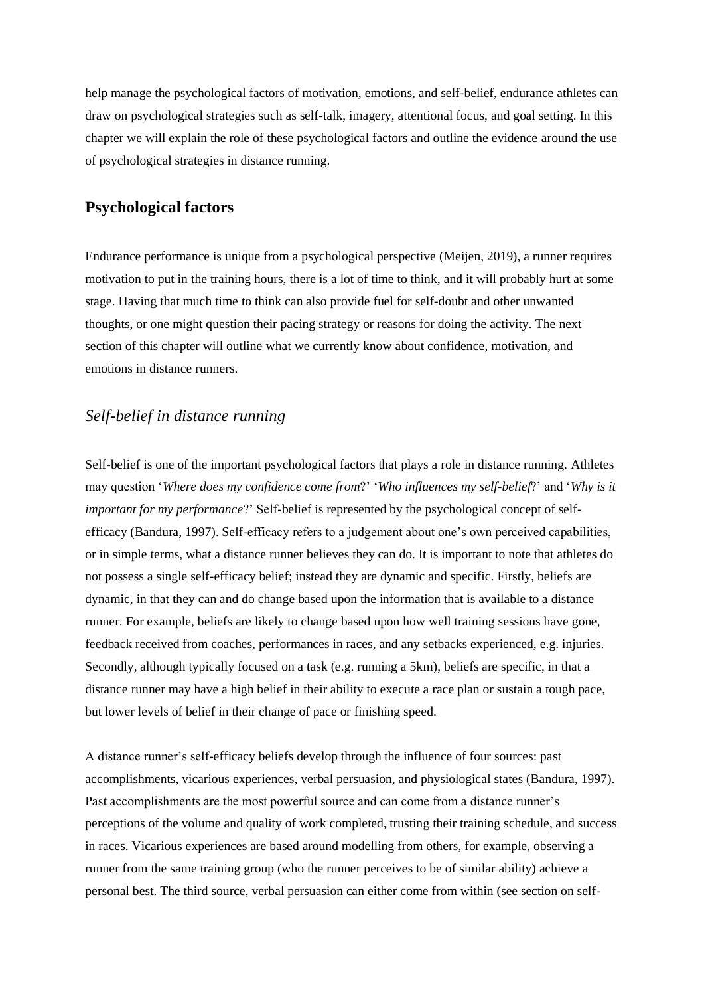help manage the psychological factors of motivation, emotions, and self-belief, endurance athletes can draw on psychological strategies such as self-talk, imagery, attentional focus, and goal setting. In this chapter we will explain the role of these psychological factors and outline the evidence around the use of psychological strategies in distance running.

## **Psychological factors**

Endurance performance is unique from a psychological perspective (Meijen, 2019), a runner requires motivation to put in the training hours, there is a lot of time to think, and it will probably hurt at some stage. Having that much time to think can also provide fuel for self-doubt and other unwanted thoughts, or one might question their pacing strategy or reasons for doing the activity. The next section of this chapter will outline what we currently know about confidence, motivation, and emotions in distance runners.

## *Self-belief in distance running*

Self-belief is one of the important psychological factors that plays a role in distance running. Athletes may question '*Where does my confidence come from*?' '*Who influences my self-belief*?' and '*Why is it important for my performance*?' Self-belief is represented by the psychological concept of selfefficacy (Bandura, 1997). Self-efficacy refers to a judgement about one's own perceived capabilities, or in simple terms, what a distance runner believes they can do. It is important to note that athletes do not possess a single self-efficacy belief; instead they are dynamic and specific. Firstly, beliefs are dynamic, in that they can and do change based upon the information that is available to a distance runner. For example, beliefs are likely to change based upon how well training sessions have gone, feedback received from coaches, performances in races, and any setbacks experienced, e.g. injuries. Secondly, although typically focused on a task (e.g. running a 5km), beliefs are specific, in that a distance runner may have a high belief in their ability to execute a race plan or sustain a tough pace, but lower levels of belief in their change of pace or finishing speed.

A distance runner's self-efficacy beliefs develop through the influence of four sources: past accomplishments, vicarious experiences, verbal persuasion, and physiological states (Bandura, 1997). Past accomplishments are the most powerful source and can come from a distance runner's perceptions of the volume and quality of work completed, trusting their training schedule, and success in races. Vicarious experiences are based around modelling from others, for example, observing a runner from the same training group (who the runner perceives to be of similar ability) achieve a personal best. The third source, verbal persuasion can either come from within (see section on self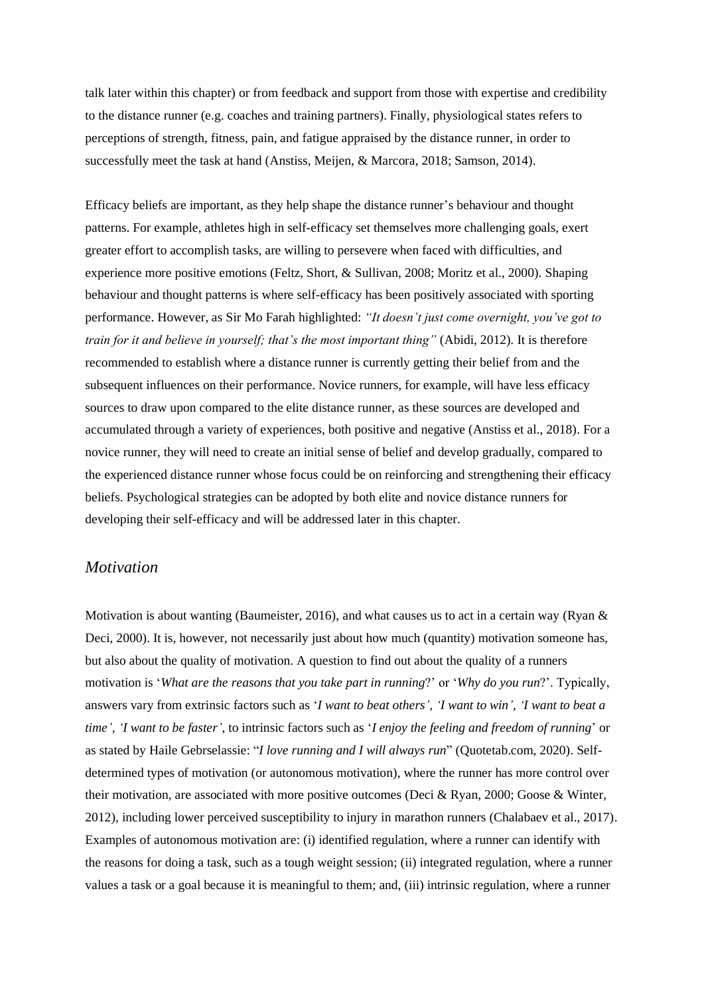talk later within this chapter) or from feedback and support from those with expertise and credibility to the distance runner (e.g. coaches and training partners). Finally, physiological states refers to perceptions of strength, fitness, pain, and fatigue appraised by the distance runner, in order to successfully meet the task at hand (Anstiss, Meijen, & Marcora, 2018; Samson, 2014).

Efficacy beliefs are important, as they help shape the distance runner's behaviour and thought patterns. For example, athletes high in self-efficacy set themselves more challenging goals, exert greater effort to accomplish tasks, are willing to persevere when faced with difficulties, and experience more positive emotions (Feltz, Short, & Sullivan, 2008; Moritz et al., 2000). Shaping behaviour and thought patterns is where self-efficacy has been positively associated with sporting performance. However, as Sir Mo Farah highlighted: *"It doesn't just come overnight, you've got to train for it and believe in yourself; that's the most important thing"* (Abidi, 2012)*.* It is therefore recommended to establish where a distance runner is currently getting their belief from and the subsequent influences on their performance. Novice runners, for example, will have less efficacy sources to draw upon compared to the elite distance runner, as these sources are developed and accumulated through a variety of experiences, both positive and negative (Anstiss et al., 2018). For a novice runner, they will need to create an initial sense of belief and develop gradually, compared to the experienced distance runner whose focus could be on reinforcing and strengthening their efficacy beliefs. Psychological strategies can be adopted by both elite and novice distance runners for developing their self-efficacy and will be addressed later in this chapter.

## *Motivation*

Motivation is about wanting (Baumeister, 2016), and what causes us to act in a certain way (Ryan & Deci, 2000). It is, however, not necessarily just about how much (quantity) motivation someone has, but also about the quality of motivation. A question to find out about the quality of a runners motivation is '*What are the reasons that you take part in running*?' or '*Why do you run*?'. Typically, answers vary from extrinsic factors such as '*I want to beat others', 'I want to win', 'I want to beat a time', 'I want to be faster'*, to intrinsic factors such as '*I enjoy the feeling and freedom of running*' or as stated by Haile Gebrselassie: "*I love running and I will always run*" (Quotetab.com, 2020). Selfdetermined types of motivation (or autonomous motivation), where the runner has more control over their motivation, are associated with more positive outcomes (Deci & Ryan, 2000; Goose & Winter, 2012), including lower perceived susceptibility to injury in marathon runners (Chalabaev et al., 2017). Examples of autonomous motivation are: (i) identified regulation, where a runner can identify with the reasons for doing a task, such as a tough weight session; (ii) integrated regulation, where a runner values a task or a goal because it is meaningful to them; and, (iii) intrinsic regulation, where a runner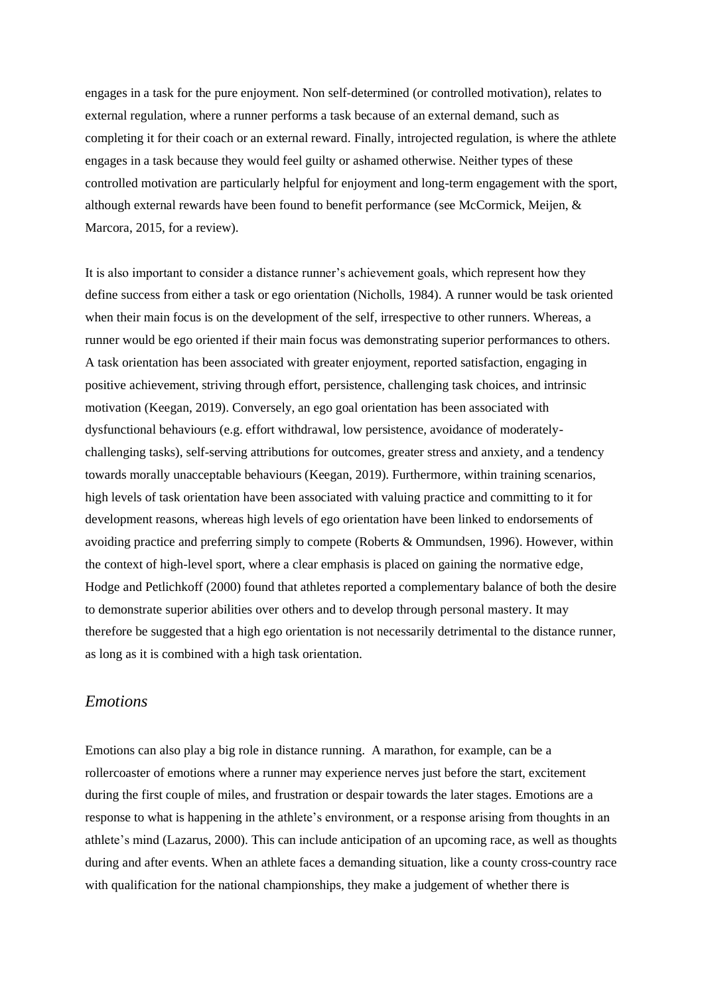engages in a task for the pure enjoyment. Non self-determined (or controlled motivation), relates to external regulation, where a runner performs a task because of an external demand, such as completing it for their coach or an external reward. Finally, introjected regulation, is where the athlete engages in a task because they would feel guilty or ashamed otherwise. Neither types of these controlled motivation are particularly helpful for enjoyment and long-term engagement with the sport, although external rewards have been found to benefit performance (see McCormick, Meijen, & Marcora, 2015, for a review).

It is also important to consider a distance runner's achievement goals, which represent how they define success from either a task or ego orientation (Nicholls, 1984). A runner would be task oriented when their main focus is on the development of the self, irrespective to other runners. Whereas, a runner would be ego oriented if their main focus was demonstrating superior performances to others. A task orientation has been associated with greater enjoyment, reported satisfaction, engaging in positive achievement, striving through effort, persistence, challenging task choices, and intrinsic motivation (Keegan, 2019). Conversely, an ego goal orientation has been associated with dysfunctional behaviours (e.g. effort withdrawal, low persistence, avoidance of moderatelychallenging tasks), self-serving attributions for outcomes, greater stress and anxiety, and a tendency towards morally unacceptable behaviours (Keegan, 2019). Furthermore, within training scenarios, high levels of task orientation have been associated with valuing practice and committing to it for development reasons, whereas high levels of ego orientation have been linked to endorsements of avoiding practice and preferring simply to compete (Roberts & Ommundsen, 1996). However, within the context of high-level sport, where a clear emphasis is placed on gaining the normative edge, Hodge and Petlichkoff (2000) found that athletes reported a complementary balance of both the desire to demonstrate superior abilities over others and to develop through personal mastery. It may therefore be suggested that a high ego orientation is not necessarily detrimental to the distance runner, as long as it is combined with a high task orientation.

### *Emotions*

Emotions can also play a big role in distance running. A marathon, for example, can be a rollercoaster of emotions where a runner may experience nerves just before the start, excitement during the first couple of miles, and frustration or despair towards the later stages. Emotions are a response to what is happening in the athlete's environment, or a response arising from thoughts in an athlete's mind (Lazarus, 2000). This can include anticipation of an upcoming race, as well as thoughts during and after events. When an athlete faces a demanding situation, like a county cross-country race with qualification for the national championships, they make a judgement of whether there is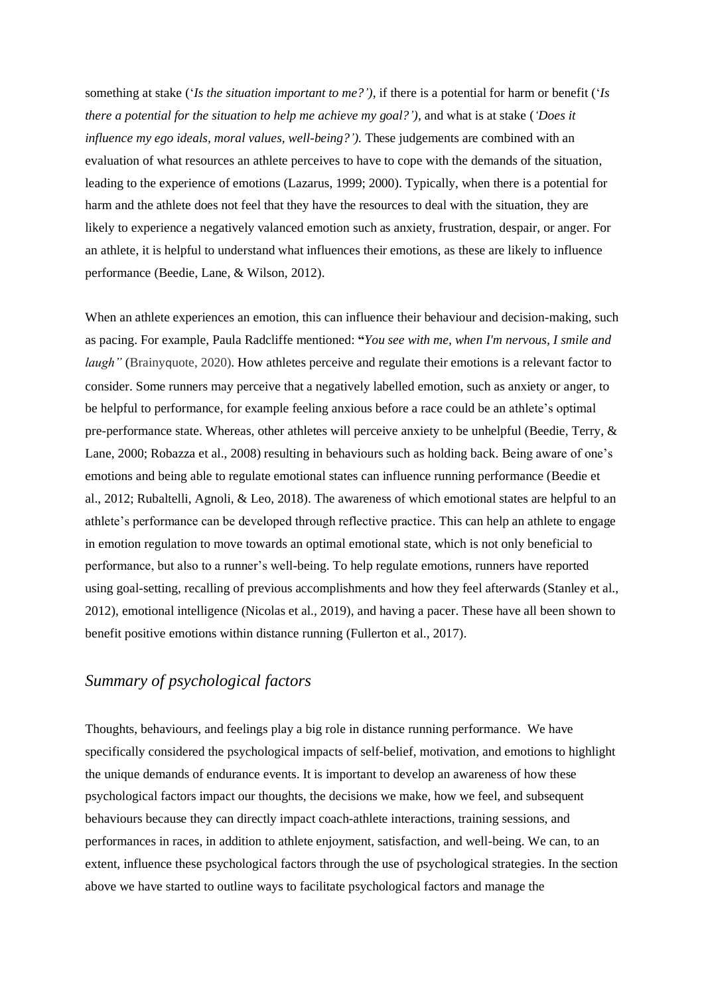something at stake ('*Is the situation important to me?'),* if there is a potential for harm or benefit ('*Is there a potential for the situation to help me achieve my goal?'),* and what is at stake (*'Does it influence my ego ideals, moral values, well-being?'*). These judgements are combined with an evaluation of what resources an athlete perceives to have to cope with the demands of the situation, leading to the experience of emotions (Lazarus, 1999; 2000). Typically, when there is a potential for harm and the athlete does not feel that they have the resources to deal with the situation, they are likely to experience a negatively valanced emotion such as anxiety, frustration, despair, or anger. For an athlete, it is helpful to understand what influences their emotions, as these are likely to influence performance (Beedie, Lane, & Wilson, 2012).

When an athlete experiences an emotion, this can influence their behaviour and decision-making, such as pacing. For example, Paula Radcliffe mentioned: **"***You see with me, when I'm nervous, I smile and laugh"* (Brainyquote, 2020). How athletes perceive and regulate their emotions is a relevant factor to consider. Some runners may perceive that a negatively labelled emotion, such as anxiety or anger, to be helpful to performance, for example feeling anxious before a race could be an athlete's optimal pre-performance state. Whereas, other athletes will perceive anxiety to be unhelpful (Beedie, Terry, & Lane, 2000; Robazza et al., 2008) resulting in behaviours such as holding back. Being aware of one's emotions and being able to regulate emotional states can influence running performance (Beedie et al., 2012; Rubaltelli, Agnoli, & Leo, 2018). The awareness of which emotional states are helpful to an athlete's performance can be developed through reflective practice. This can help an athlete to engage in emotion regulation to move towards an optimal emotional state, which is not only beneficial to performance, but also to a runner's well-being. To help regulate emotions, runners have reported using goal-setting, recalling of previous accomplishments and how they feel afterwards (Stanley et al., 2012), emotional intelligence (Nicolas et al., 2019), and having a pacer. These have all been shown to benefit positive emotions within distance running (Fullerton et al., 2017).

# *Summary of psychological factors*

Thoughts, behaviours, and feelings play a big role in distance running performance. We have specifically considered the psychological impacts of self-belief, motivation, and emotions to highlight the unique demands of endurance events. It is important to develop an awareness of how these psychological factors impact our thoughts, the decisions we make, how we feel, and subsequent behaviours because they can directly impact coach-athlete interactions, training sessions, and performances in races, in addition to athlete enjoyment, satisfaction, and well-being. We can, to an extent, influence these psychological factors through the use of psychological strategies. In the section above we have started to outline ways to facilitate psychological factors and manage the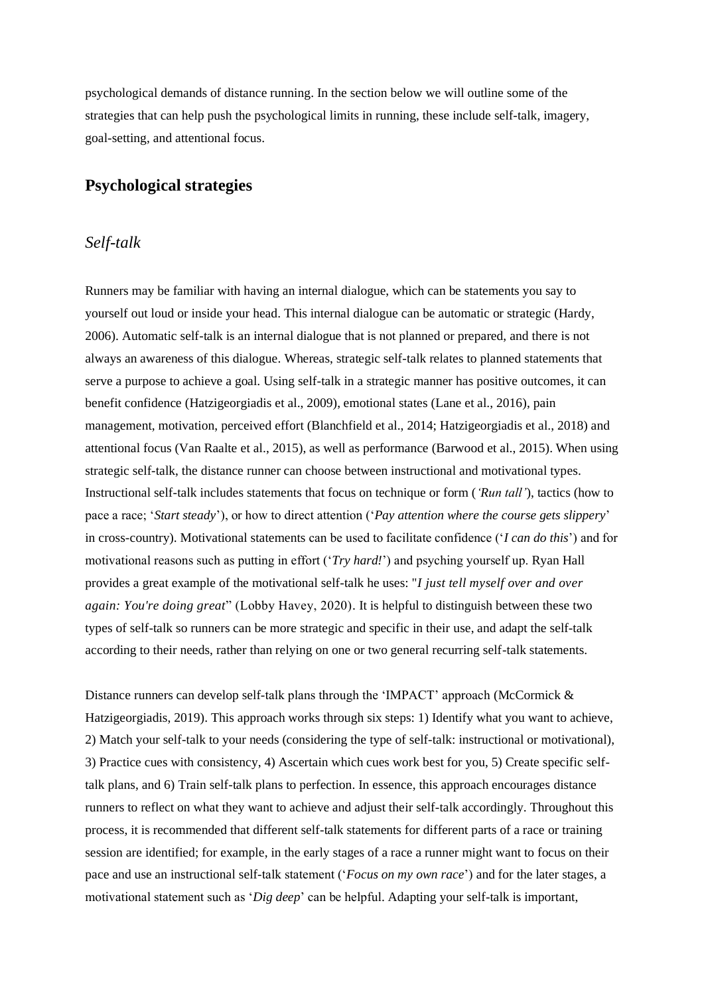psychological demands of distance running. In the section below we will outline some of the strategies that can help push the psychological limits in running, these include self-talk, imagery, goal-setting, and attentional focus.

## **Psychological strategies**

### *Self-talk*

Runners may be familiar with having an internal dialogue, which can be statements you say to yourself out loud or inside your head. This internal dialogue can be automatic or strategic (Hardy, 2006). Automatic self-talk is an internal dialogue that is not planned or prepared, and there is not always an awareness of this dialogue. Whereas, strategic self-talk relates to planned statements that serve a purpose to achieve a goal. Using self-talk in a strategic manner has positive outcomes, it can benefit confidence (Hatzigeorgiadis et al., 2009), emotional states (Lane et al., 2016), pain management, motivation, perceived effort (Blanchfield et al., 2014; Hatzigeorgiadis et al., 2018) and attentional focus (Van Raalte et al., 2015), as well as performance (Barwood et al., 2015). When using strategic self-talk, the distance runner can choose between instructional and motivational types. Instructional self-talk includes statements that focus on technique or form (*'Run tall'*), tactics (how to pace a race; '*Start steady*'), or how to direct attention ('*Pay attention where the course gets slippery*' in cross-country). Motivational statements can be used to facilitate confidence ('*I can do this*') and for motivational reasons such as putting in effort ('*Try hard!*') and psyching yourself up. Ryan Hall provides a great example of the motivational self-talk he uses: "*I just tell myself over and over again: You're doing great*" (Lobby Havey, 2020). It is helpful to distinguish between these two types of self-talk so runners can be more strategic and specific in their use, and adapt the self-talk according to their needs, rather than relying on one or two general recurring self-talk statements.

Distance runners can develop self-talk plans through the 'IMPACT' approach (McCormick & Hatzigeorgiadis, 2019). This approach works through six steps: 1) Identify what you want to achieve, 2) Match your self-talk to your needs (considering the type of self-talk: instructional or motivational), 3) Practice cues with consistency, 4) Ascertain which cues work best for you, 5) Create specific selftalk plans, and 6) Train self-talk plans to perfection. In essence, this approach encourages distance runners to reflect on what they want to achieve and adjust their self-talk accordingly. Throughout this process, it is recommended that different self-talk statements for different parts of a race or training session are identified; for example, in the early stages of a race a runner might want to focus on their pace and use an instructional self-talk statement ('*Focus on my own race*') and for the later stages, a motivational statement such as '*Dig deep*' can be helpful. Adapting your self-talk is important,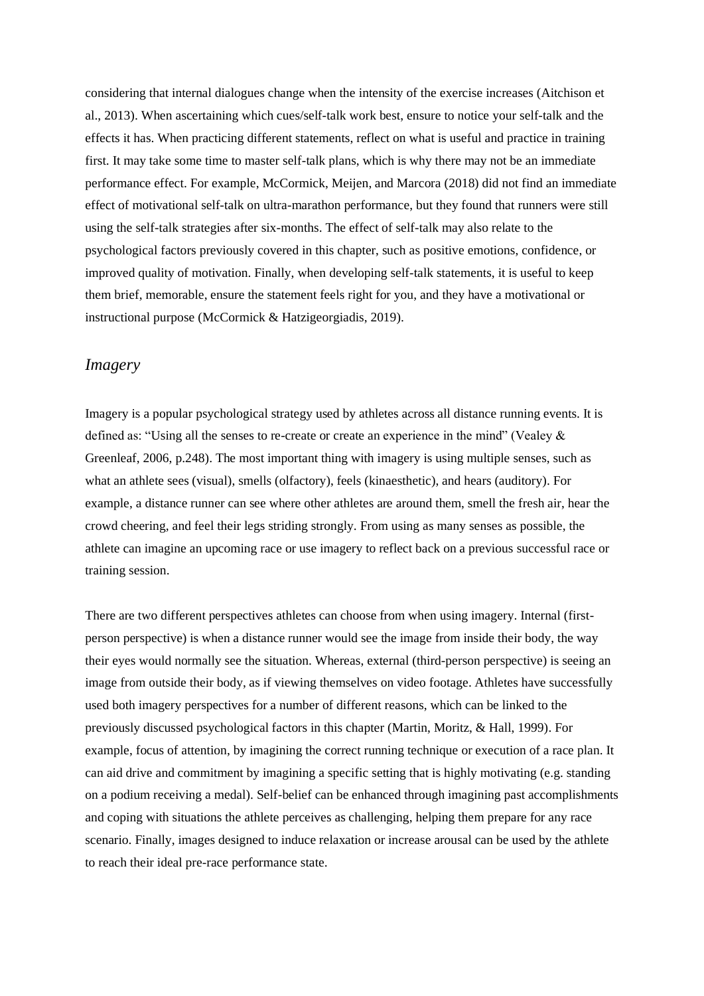considering that internal dialogues change when the intensity of the exercise increases (Aitchison et al., 2013). When ascertaining which cues/self-talk work best, ensure to notice your self-talk and the effects it has. When practicing different statements, reflect on what is useful and practice in training first. It may take some time to master self-talk plans, which is why there may not be an immediate performance effect. For example, McCormick, Meijen, and Marcora (2018) did not find an immediate effect of motivational self-talk on ultra-marathon performance, but they found that runners were still using the self-talk strategies after six-months. The effect of self-talk may also relate to the psychological factors previously covered in this chapter, such as positive emotions, confidence, or improved quality of motivation. Finally, when developing self-talk statements, it is useful to keep them brief, memorable, ensure the statement feels right for you, and they have a motivational or instructional purpose (McCormick & Hatzigeorgiadis, 2019).

### *Imagery*

Imagery is a popular psychological strategy used by athletes across all distance running events. It is defined as: "Using all the senses to re-create or create an experience in the mind" (Vealey & Greenleaf, 2006, p.248). The most important thing with imagery is using multiple senses, such as what an athlete sees (visual), smells (olfactory), feels (kinaesthetic), and hears (auditory). For example, a distance runner can see where other athletes are around them, smell the fresh air, hear the crowd cheering, and feel their legs striding strongly. From using as many senses as possible, the athlete can imagine an upcoming race or use imagery to reflect back on a previous successful race or training session.

There are two different perspectives athletes can choose from when using imagery. Internal (firstperson perspective) is when a distance runner would see the image from inside their body, the way their eyes would normally see the situation. Whereas, external (third-person perspective) is seeing an image from outside their body, as if viewing themselves on video footage. Athletes have successfully used both imagery perspectives for a number of different reasons, which can be linked to the previously discussed psychological factors in this chapter (Martin, Moritz, & Hall, 1999). For example, focus of attention, by imagining the correct running technique or execution of a race plan. It can aid drive and commitment by imagining a specific setting that is highly motivating (e.g. standing on a podium receiving a medal). Self-belief can be enhanced through imagining past accomplishments and coping with situations the athlete perceives as challenging, helping them prepare for any race scenario. Finally, images designed to induce relaxation or increase arousal can be used by the athlete to reach their ideal pre-race performance state.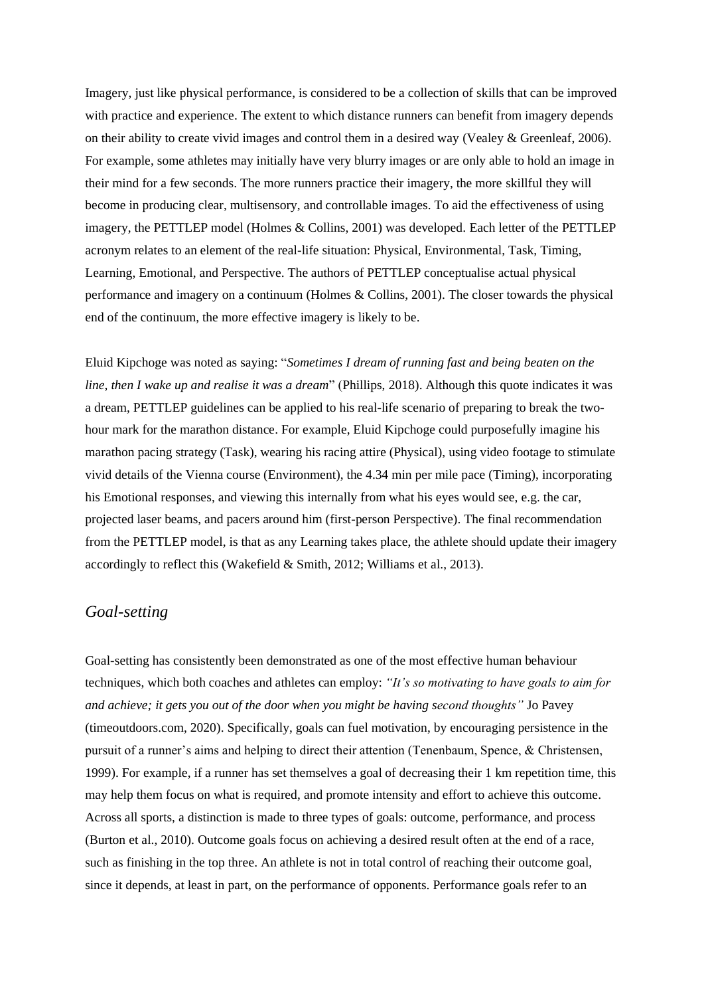Imagery, just like physical performance, is considered to be a collection of skills that can be improved with practice and experience. The extent to which distance runners can benefit from imagery depends on their ability to create vivid images and control them in a desired way (Vealey & Greenleaf, 2006). For example, some athletes may initially have very blurry images or are only able to hold an image in their mind for a few seconds. The more runners practice their imagery, the more skillful they will become in producing clear, multisensory, and controllable images. To aid the effectiveness of using imagery, the PETTLEP model (Holmes & Collins, 2001) was developed. Each letter of the PETTLEP acronym relates to an element of the real-life situation: Physical, Environmental, Task, Timing, Learning, Emotional, and Perspective. The authors of PETTLEP conceptualise actual physical performance and imagery on a continuum (Holmes & Collins, 2001). The closer towards the physical end of the continuum, the more effective imagery is likely to be.

Eluid Kipchoge was noted as saying: "*Sometimes I dream of running fast and being beaten on the line, then I wake up and realise it was a dream*" (Phillips, 2018). Although this quote indicates it was a dream, PETTLEP guidelines can be applied to his real-life scenario of preparing to break the twohour mark for the marathon distance. For example, Eluid Kipchoge could purposefully imagine his marathon pacing strategy (Task), wearing his racing attire (Physical), using video footage to stimulate vivid details of the Vienna course (Environment), the 4.34 min per mile pace (Timing), incorporating his Emotional responses, and viewing this internally from what his eyes would see, e.g. the car, projected laser beams, and pacers around him (first-person Perspective). The final recommendation from the PETTLEP model, is that as any Learning takes place, the athlete should update their imagery accordingly to reflect this (Wakefield & Smith, 2012; Williams et al., 2013).

### *Goal-setting*

Goal-setting has consistently been demonstrated as one of the most effective human behaviour techniques, which both coaches and athletes can employ: *"It's so motivating to have goals to aim for and achieve; it gets you out of the door when you might be having second thoughts"* Jo Pavey (timeoutdoors.com, 2020). Specifically, goals can fuel motivation, by encouraging persistence in the pursuit of a runner's aims and helping to direct their attention (Tenenbaum, Spence, & Christensen, 1999). For example, if a runner has set themselves a goal of decreasing their 1 km repetition time, this may help them focus on what is required, and promote intensity and effort to achieve this outcome. Across all sports, a distinction is made to three types of goals: outcome, performance, and process (Burton et al., 2010). Outcome goals focus on achieving a desired result often at the end of a race, such as finishing in the top three. An athlete is not in total control of reaching their outcome goal, since it depends, at least in part, on the performance of opponents. Performance goals refer to an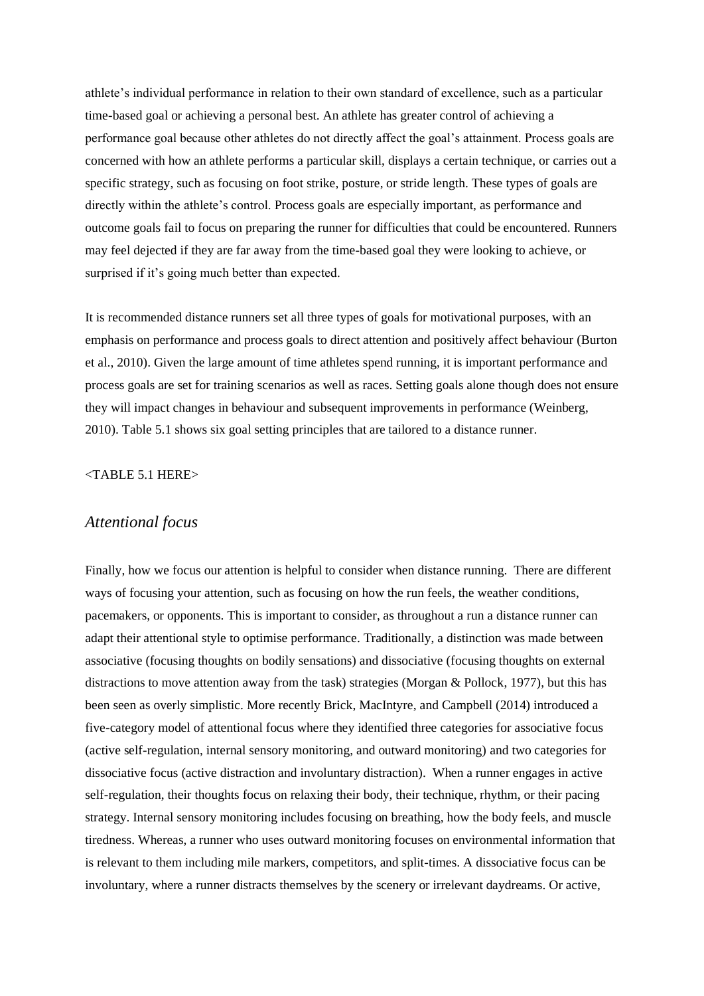athlete's individual performance in relation to their own standard of excellence, such as a particular time-based goal or achieving a personal best. An athlete has greater control of achieving a performance goal because other athletes do not directly affect the goal's attainment. Process goals are concerned with how an athlete performs a particular skill, displays a certain technique, or carries out a specific strategy, such as focusing on foot strike, posture, or stride length. These types of goals are directly within the athlete's control. Process goals are especially important, as performance and outcome goals fail to focus on preparing the runner for difficulties that could be encountered. Runners may feel dejected if they are far away from the time-based goal they were looking to achieve, or surprised if it's going much better than expected.

It is recommended distance runners set all three types of goals for motivational purposes, with an emphasis on performance and process goals to direct attention and positively affect behaviour (Burton et al., 2010). Given the large amount of time athletes spend running, it is important performance and process goals are set for training scenarios as well as races. Setting goals alone though does not ensure they will impact changes in behaviour and subsequent improvements in performance (Weinberg, 2010). Table 5.1 shows six goal setting principles that are tailored to a distance runner.

#### <TABLE 5.1 HERE>

## *Attentional focus*

Finally, how we focus our attention is helpful to consider when distance running. There are different ways of focusing your attention, such as focusing on how the run feels, the weather conditions, pacemakers, or opponents. This is important to consider, as throughout a run a distance runner can adapt their attentional style to optimise performance. Traditionally, a distinction was made between associative (focusing thoughts on bodily sensations) and dissociative (focusing thoughts on external distractions to move attention away from the task) strategies (Morgan & Pollock, 1977), but this has been seen as overly simplistic. More recently Brick, MacIntyre, and Campbell (2014) introduced a five-category model of attentional focus where they identified three categories for associative focus (active self-regulation, internal sensory monitoring, and outward monitoring) and two categories for dissociative focus (active distraction and involuntary distraction). When a runner engages in active self-regulation, their thoughts focus on relaxing their body, their technique, rhythm, or their pacing strategy. Internal sensory monitoring includes focusing on breathing, how the body feels, and muscle tiredness. Whereas, a runner who uses outward monitoring focuses on environmental information that is relevant to them including mile markers, competitors, and split-times. A dissociative focus can be involuntary, where a runner distracts themselves by the scenery or irrelevant daydreams. Or active,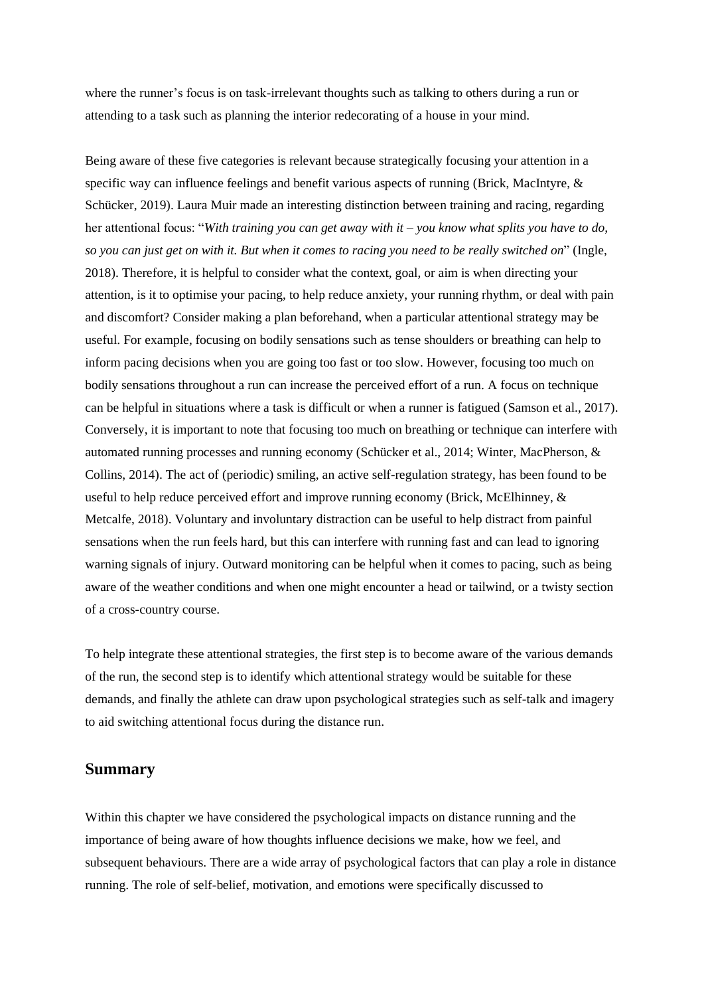where the runner's focus is on task-irrelevant thoughts such as talking to others during a run or attending to a task such as planning the interior redecorating of a house in your mind.

Being aware of these five categories is relevant because strategically focusing your attention in a specific way can influence feelings and benefit various aspects of running (Brick, MacIntyre, & Schücker, 2019). Laura Muir made an interesting distinction between training and racing, regarding her attentional focus: "*With training you can get away with it – you know what splits you have to do, so you can just get on with it. But when it comes to racing you need to be really switched on*" (Ingle, 2018). Therefore, it is helpful to consider what the context, goal, or aim is when directing your attention, is it to optimise your pacing, to help reduce anxiety, your running rhythm, or deal with pain and discomfort? Consider making a plan beforehand, when a particular attentional strategy may be useful. For example, focusing on bodily sensations such as tense shoulders or breathing can help to inform pacing decisions when you are going too fast or too slow. However, focusing too much on bodily sensations throughout a run can increase the perceived effort of a run. A focus on technique can be helpful in situations where a task is difficult or when a runner is fatigued (Samson et al., 2017). Conversely, it is important to note that focusing too much on breathing or technique can interfere with automated running processes and running economy (Schücker et al., 2014; Winter, MacPherson, & Collins, 2014). The act of (periodic) smiling, an active self-regulation strategy, has been found to be useful to help reduce perceived effort and improve running economy (Brick, McElhinney, & Metcalfe, 2018). Voluntary and involuntary distraction can be useful to help distract from painful sensations when the run feels hard, but this can interfere with running fast and can lead to ignoring warning signals of injury. Outward monitoring can be helpful when it comes to pacing, such as being aware of the weather conditions and when one might encounter a head or tailwind, or a twisty section of a cross-country course.

To help integrate these attentional strategies, the first step is to become aware of the various demands of the run, the second step is to identify which attentional strategy would be suitable for these demands, and finally the athlete can draw upon psychological strategies such as self-talk and imagery to aid switching attentional focus during the distance run.

### **Summary**

Within this chapter we have considered the psychological impacts on distance running and the importance of being aware of how thoughts influence decisions we make, how we feel, and subsequent behaviours. There are a wide array of psychological factors that can play a role in distance running. The role of self-belief, motivation, and emotions were specifically discussed to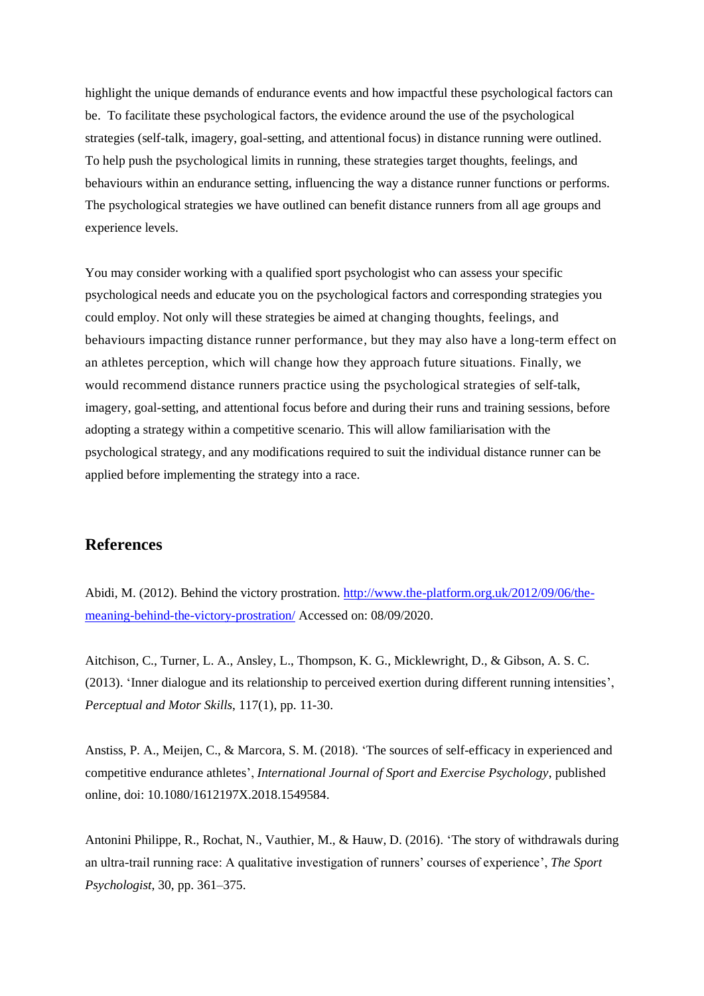highlight the unique demands of endurance events and how impactful these psychological factors can be. To facilitate these psychological factors, the evidence around the use of the psychological strategies (self-talk, imagery, goal-setting, and attentional focus) in distance running were outlined. To help push the psychological limits in running, these strategies target thoughts, feelings, and behaviours within an endurance setting, influencing the way a distance runner functions or performs. The psychological strategies we have outlined can benefit distance runners from all age groups and experience levels.

You may consider working with a qualified sport psychologist who can assess your specific psychological needs and educate you on the psychological factors and corresponding strategies you could employ. Not only will these strategies be aimed at changing thoughts, feelings, and behaviours impacting distance runner performance, but they may also have a long-term effect on an athletes perception, which will change how they approach future situations. Finally, we would recommend distance runners practice using the psychological strategies of self-talk, imagery, goal-setting, and attentional focus before and during their runs and training sessions, before adopting a strategy within a competitive scenario. This will allow familiarisation with the psychological strategy, and any modifications required to suit the individual distance runner can be applied before implementing the strategy into a race.

# **References**

Abidi, M. (2012). Behind the victory prostration. [http://www.the-platform.org.uk/2012/09/06/the](http://www.the-platform.org.uk/2012/09/06/the-meaning-behind-the-victory-prostration/)[meaning-behind-the-victory-prostration/](http://www.the-platform.org.uk/2012/09/06/the-meaning-behind-the-victory-prostration/) Accessed on: 08/09/2020.

Aitchison, C., Turner, L. A., Ansley, L., Thompson, K. G., Micklewright, D., & Gibson, A. S. C. (2013). 'Inner dialogue and its relationship to perceived exertion during different running intensities', *Perceptual and Motor Skills*, 117(1), pp. 11-30.

Anstiss, P. A., Meijen, C., & Marcora, S. M. (2018). 'The sources of self-efficacy in experienced and competitive endurance athletes', *International Journal of Sport and Exercise Psychology*, published online, doi: 10.1080/1612197X.2018.1549584.

Antonini Philippe, R., Rochat, N., Vauthier, M., & Hauw, D. (2016). 'The story of withdrawals during an ultra-trail running race: A qualitative investigation of runners' courses of experience', *The Sport Psychologist*, 30, pp. 361–375.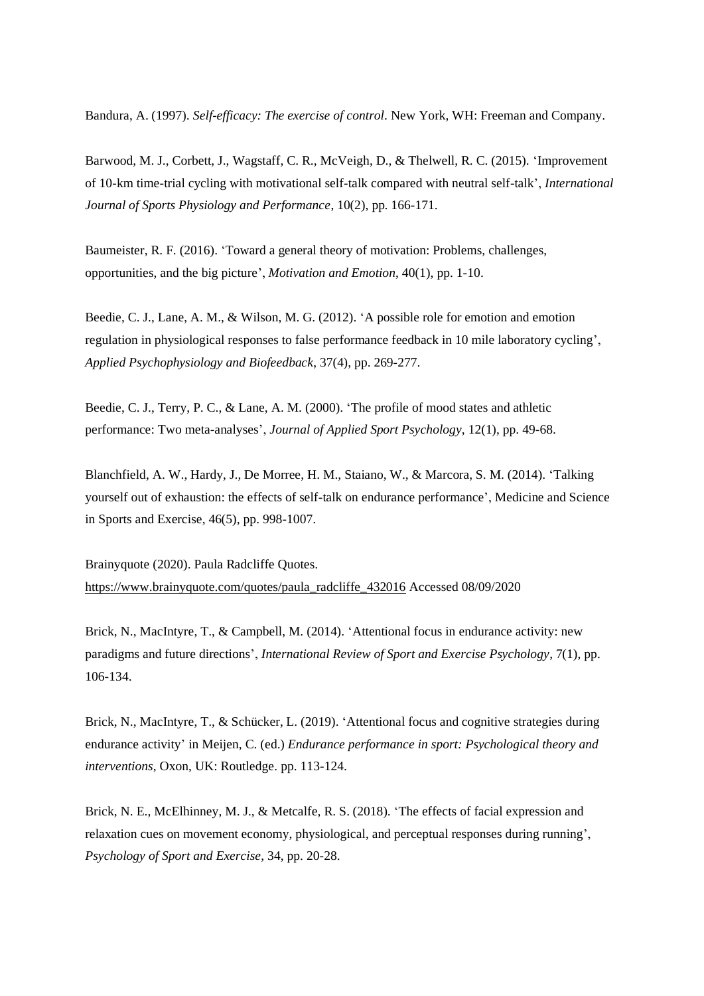Bandura, A. (1997). *Self-efficacy: The exercise of control*. New York, WH: Freeman and Company.

Barwood, M. J., Corbett, J., Wagstaff, C. R., McVeigh, D., & Thelwell, R. C. (2015). 'Improvement of 10-km time-trial cycling with motivational self-talk compared with neutral self-talk', *International Journal of Sports Physiology and Performance*, 10(2), pp. 166-171.

Baumeister, R. F. (2016). 'Toward a general theory of motivation: Problems, challenges, opportunities, and the big picture', *Motivation and Emotion*, 40(1), pp. 1-10.

Beedie, C. J., Lane, A. M., & Wilson, M. G. (2012). 'A possible role for emotion and emotion regulation in physiological responses to false performance feedback in 10 mile laboratory cycling', *Applied Psychophysiology and Biofeedback*, 37(4), pp. 269-277.

Beedie, C. J., Terry, P. C., & Lane, A. M. (2000). 'The profile of mood states and athletic performance: Two meta-analyses', *Journal of Applied Sport Psychology*, 12(1), pp. 49-68.

Blanchfield, A. W., Hardy, J., De Morree, H. M., Staiano, W., & Marcora, S. M. (2014). 'Talking yourself out of exhaustion: the effects of self-talk on endurance performance', Medicine and Science in Sports and Exercise, 46(5), pp. 998-1007.

Brainyquote (2020). Paula Radcliffe Quotes. [https://www.brainyquote.com/quotes/paula\\_radcliffe\\_432016](https://www.brainyquote.com/quotes/paula_radcliffe_432016) Accessed 08/09/2020

Brick, N., MacIntyre, T., & Campbell, M. (2014). 'Attentional focus in endurance activity: new paradigms and future directions', *International Review of Sport and Exercise Psychology*, 7(1), pp. 106-134.

Brick, N., MacIntyre, T., & Schücker, L. (2019). 'Attentional focus and cognitive strategies during endurance activity' in Meijen, C. (ed.) *Endurance performance in sport: Psychological theory and interventions*, Oxon, UK: Routledge. pp. 113-124.

Brick, N. E., McElhinney, M. J., & Metcalfe, R. S. (2018). 'The effects of facial expression and relaxation cues on movement economy, physiological, and perceptual responses during running', *Psychology of Sport and Exercise*, 34, pp. 20-28.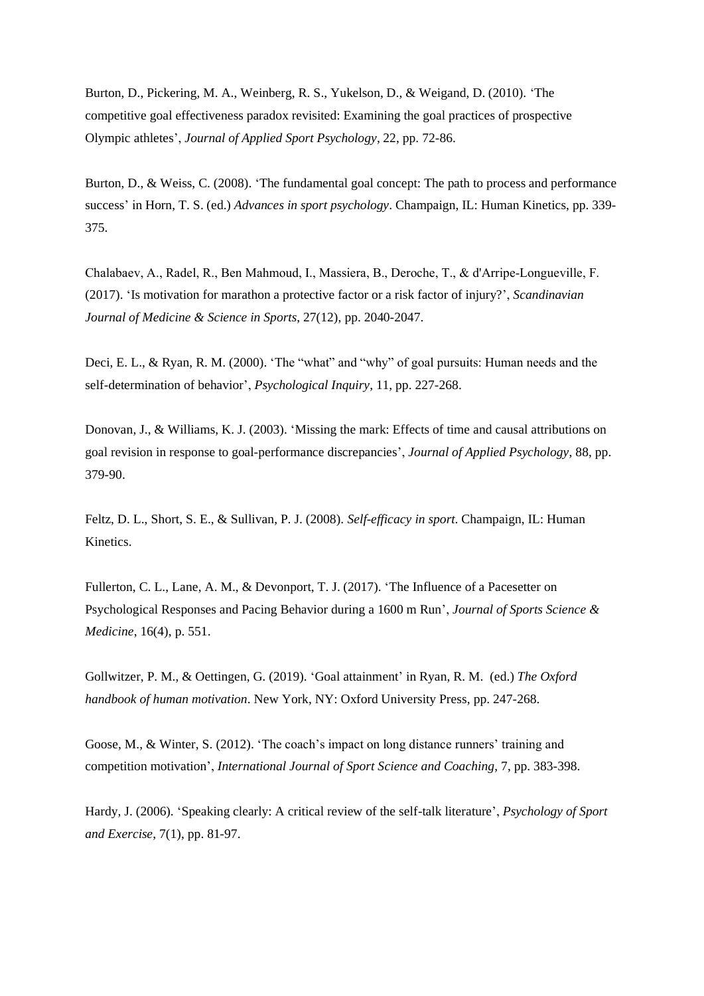Burton, D., Pickering, M. A., Weinberg, R. S., Yukelson, D., & Weigand, D. (2010). 'The competitive goal effectiveness paradox revisited: Examining the goal practices of prospective Olympic athletes', *Journal of Applied Sport Psychology*, 22, pp. 72-86.

Burton, D., & Weiss, C. (2008). 'The fundamental goal concept: The path to process and performance success' in Horn, T. S. (ed.) *Advances in sport psychology*. Champaign, IL: Human Kinetics, pp. 339- 375.

Chalabaev, A., Radel, R., Ben Mahmoud, I., Massiera, B., Deroche, T., & d'Arripe‐Longueville, F. (2017). 'Is motivation for marathon a protective factor or a risk factor of injury?', *Scandinavian Journal of Medicine & Science in Sports*, 27(12), pp. 2040-2047.

Deci, E. L., & Ryan, R. M. (2000). 'The "what" and "why" of goal pursuits: Human needs and the self-determination of behavior', *Psychological Inquiry*, 11, pp. 227-268.

Donovan, J., & Williams, K. J. (2003). 'Missing the mark: Effects of time and causal attributions on goal revision in response to goal-performance discrepancies', *Journal of Applied Psychology*, 88, pp. 379-90.

Feltz, D. L., Short, S. E., & Sullivan, P. J. (2008). *Self-efficacy in sport*. Champaign, IL: Human Kinetics.

Fullerton, C. L., Lane, A. M., & Devonport, T. J. (2017). 'The Influence of a Pacesetter on Psychological Responses and Pacing Behavior during a 1600 m Run', *Journal of Sports Science & Medicine*, 16(4), p. 551.

Gollwitzer, P. M., & Oettingen, G. (2019). 'Goal attainment' in Ryan, R. M. (ed.) *The Oxford handbook of human motivation*. New York, NY: Oxford University Press, pp. 247-268.

Goose, M., & Winter, S. (2012). 'The coach's impact on long distance runners' training and competition motivation', *International Journal of Sport Science and Coaching*, 7, pp. 383-398.

Hardy, J. (2006). 'Speaking clearly: A critical review of the self-talk literature', *Psychology of Sport and Exercise*, 7(1), pp. 81-97.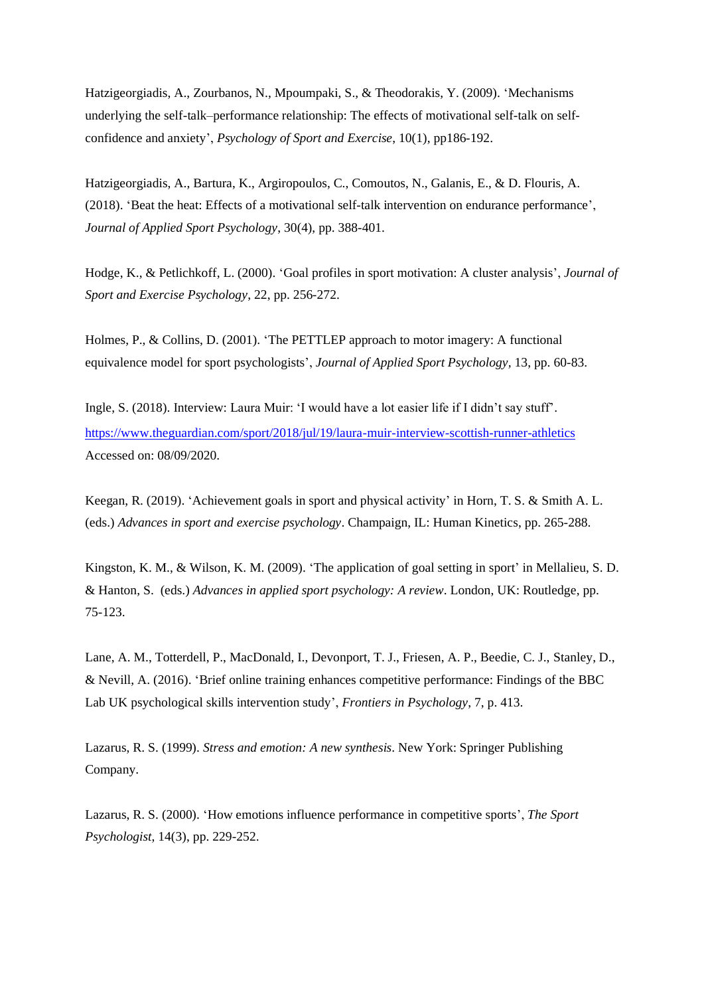Hatzigeorgiadis, A., Zourbanos, N., Mpoumpaki, S., & Theodorakis, Y. (2009). 'Mechanisms underlying the self-talk–performance relationship: The effects of motivational self-talk on selfconfidence and anxiety', *Psychology of Sport and Exercise*, 10(1), pp186-192.

Hatzigeorgiadis, A., Bartura, K., Argiropoulos, C., Comoutos, N., Galanis, E., & D. Flouris, A. (2018). 'Beat the heat: Effects of a motivational self-talk intervention on endurance performance', *Journal of Applied Sport Psychology*, 30(4), pp. 388-401.

Hodge, K., & Petlichkoff, L. (2000). 'Goal profiles in sport motivation: A cluster analysis', *Journal of Sport and Exercise Psychology*, 22, pp. 256-272.

Holmes, P., & Collins, D. (2001). 'The PETTLEP approach to motor imagery: A functional equivalence model for sport psychologists', *Journal of Applied Sport Psychology,* 13, pp. 60-83.

Ingle, S. (2018). Interview: Laura Muir: 'I would have a lot easier life if I didn't say stuff'. <https://www.theguardian.com/sport/2018/jul/19/laura-muir-interview-scottish-runner-athletics> Accessed on: 08/09/2020.

Keegan, R. (2019). 'Achievement goals in sport and physical activity' in Horn, T. S. & Smith A. L. (eds.) *Advances in sport and exercise psychology*. Champaign, IL: Human Kinetics, pp. 265-288.

Kingston, K. M., & Wilson, K. M. (2009). 'The application of goal setting in sport' in Mellalieu, S. D. & Hanton, S. (eds.) *Advances in applied sport psychology: A review*. London, UK: Routledge, pp. 75-123.

Lane, A. M., Totterdell, P., MacDonald, I., Devonport, T. J., Friesen, A. P., Beedie, C. J., Stanley, D., & Nevill, A. (2016). 'Brief online training enhances competitive performance: Findings of the BBC Lab UK psychological skills intervention study', *Frontiers in Psychology*, 7, p. 413.

Lazarus, R. S. (1999). *Stress and emotion: A new synthesis*. New York: Springer Publishing Company.

Lazarus, R. S. (2000). 'How emotions influence performance in competitive sports', *The Sport Psychologist*, 14(3), pp. 229-252.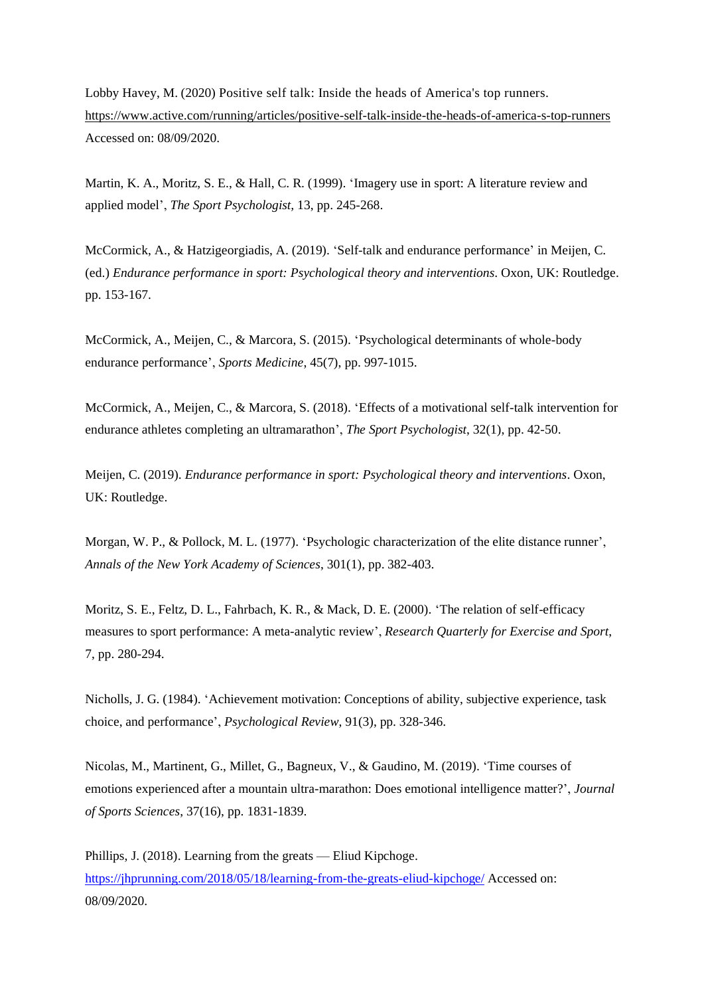Lobby Havey, M. (2020) Positive self talk: Inside the heads of America's top runners. <https://www.active.com/running/articles/positive-self-talk-inside-the-heads-of-america-s-top-runners> Accessed on: 08/09/2020.

Martin, K. A., Moritz, S. E., & Hall, C. R. (1999). 'Imagery use in sport: A literature review and applied model', *The Sport Psychologist,* 13, pp. 245-268.

McCormick, A., & Hatzigeorgiadis, A. (2019). 'Self-talk and endurance performance' in Meijen, C. (ed.) *Endurance performance in sport: Psychological theory and interventions*. Oxon, UK: Routledge. pp. 153-167.

McCormick, A., Meijen, C., & Marcora, S. (2015). 'Psychological determinants of whole-body endurance performance', *Sports Medicine*, 45(7), pp. 997-1015.

McCormick, A., Meijen, C., & Marcora, S. (2018). 'Effects of a motivational self-talk intervention for endurance athletes completing an ultramarathon', *The Sport Psychologist*, 32(1), pp. 42-50.

Meijen, C. (2019). *Endurance performance in sport: Psychological theory and interventions*. Oxon, UK: Routledge.

Morgan, W. P., & Pollock, M. L. (1977). 'Psychologic characterization of the elite distance runner', *Annals of the New York Academy of Sciences*, 301(1), pp. 382-403.

Moritz, S. E., Feltz, D. L., Fahrbach, K. R., & Mack, D. E. (2000). 'The relation of self-efficacy measures to sport performance: A meta-analytic review', *Research Quarterly for Exercise and Sport*, 7, pp. 280-294.

Nicholls, J. G. (1984). 'Achievement motivation: Conceptions of ability, subjective experience, task choice, and performance', *Psychological Review*, 91(3), pp. 328-346.

Nicolas, M., Martinent, G., Millet, G., Bagneux, V., & Gaudino, M. (2019). 'Time courses of emotions experienced after a mountain ultra-marathon: Does emotional intelligence matter?', *Journal of Sports Sciences*, 37(16), pp. 1831-1839.

Phillips, J. (2018). Learning from the greats — Eliud Kipchoge. <https://jhprunning.com/2018/05/18/learning-from-the-greats-eliud-kipchoge/> Accessed on: 08/09/2020.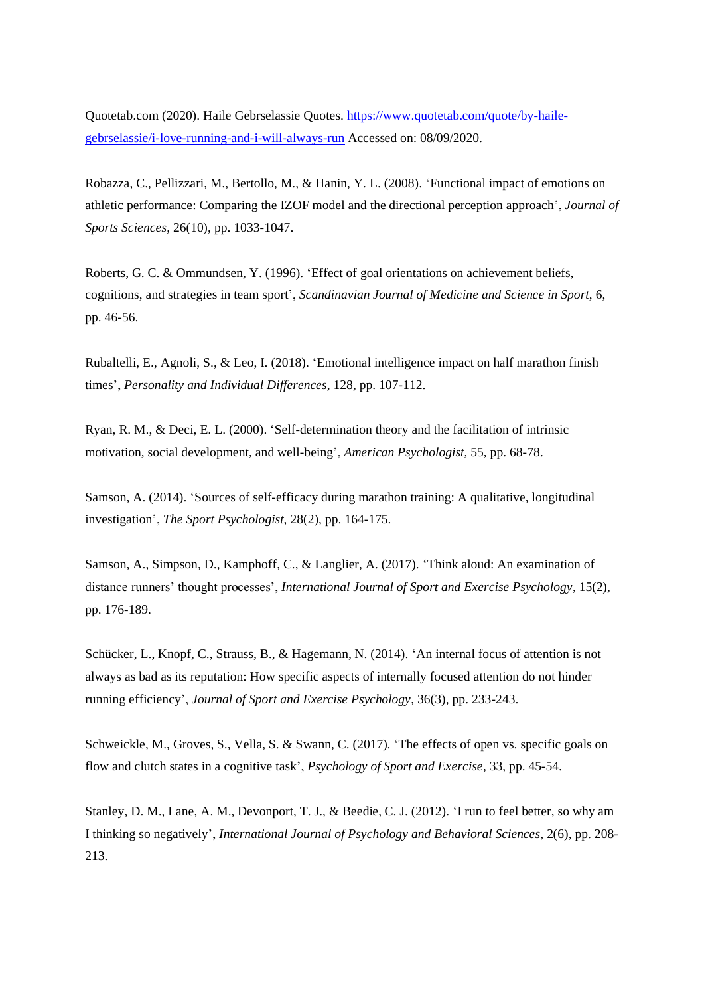Quotetab.com (2020). Haile Gebrselassie Quotes. [https://www.quotetab.com/quote/by-haile](https://www.quotetab.com/quote/by-haile-gebrselassie/i-love-running-and-i-will-always-run)[gebrselassie/i-love-running-and-i-will-always-run](https://www.quotetab.com/quote/by-haile-gebrselassie/i-love-running-and-i-will-always-run) Accessed on: 08/09/2020.

Robazza, C., Pellizzari, M., Bertollo, M., & Hanin, Y. L. (2008). 'Functional impact of emotions on athletic performance: Comparing the IZOF model and the directional perception approach', *Journal of Sports Sciences*, 26(10), pp. 1033-1047.

Roberts, G. C. & Ommundsen, Y. (1996). 'Effect of goal orientations on achievement beliefs, cognitions, and strategies in team sport', *Scandinavian Journal of Medicine and Science in Sport*, 6, pp. 46-56.

Rubaltelli, E., Agnoli, S., & Leo, I. (2018). 'Emotional intelligence impact on half marathon finish times', *Personality and Individual Differences*, 128, pp. 107-112.

Ryan, R. M., & Deci, E. L. (2000). 'Self-determination theory and the facilitation of intrinsic motivation, social development, and well-being', *American Psychologist*, 55, pp. 68-78.

Samson, A. (2014). 'Sources of self-efficacy during marathon training: A qualitative, longitudinal investigation', *The Sport Psychologist*, 28(2), pp. 164-175.

Samson, A., Simpson, D., Kamphoff, C., & Langlier, A. (2017). 'Think aloud: An examination of distance runners' thought processes', *International Journal of Sport and Exercise Psychology*, 15(2), pp. 176-189.

Schücker, L., Knopf, C., Strauss, B., & Hagemann, N. (2014). 'An internal focus of attention is not always as bad as its reputation: How specific aspects of internally focused attention do not hinder running efficiency', *Journal of Sport and Exercise Psychology*, 36(3), pp. 233-243.

Schweickle, M., Groves, S., Vella, S. & Swann, C. (2017). 'The effects of open vs. specific goals on flow and clutch states in a cognitive task', *Psychology of Sport and Exercise*, 33, pp. 45-54.

Stanley, D. M., Lane, A. M., Devonport, T. J., & Beedie, C. J. (2012). 'I run to feel better, so why am I thinking so negatively', *International Journal of Psychology and Behavioral Sciences*, 2(6), pp. 208- 213.